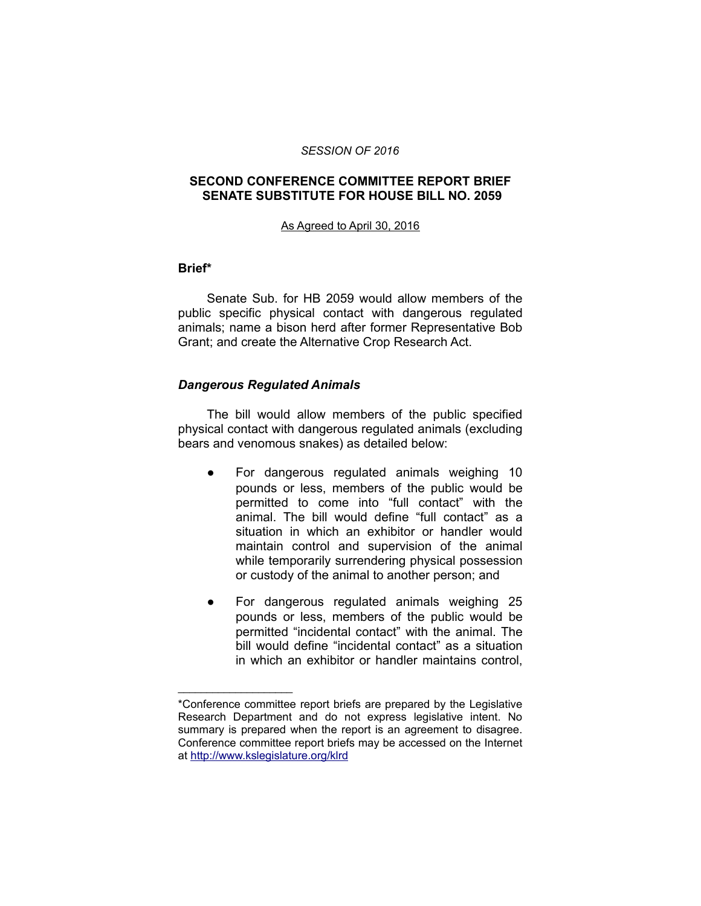#### *SESSION OF 2016*

## **SECOND CONFERENCE COMMITTEE REPORT BRIEF SENATE SUBSTITUTE FOR HOUSE BILL NO. 2059**

#### As Agreed to April 30, 2016

### **Brief\***

Senate Sub. for HB 2059 would allow members of the public specific physical contact with dangerous regulated animals; name a bison herd after former Representative Bob Grant; and create the Alternative Crop Research Act.

### *Dangerous Regulated Animals*

\_\_\_\_\_\_\_\_\_\_\_\_\_\_\_\_\_\_\_\_

The bill would allow members of the public specified physical contact with dangerous regulated animals (excluding bears and venomous snakes) as detailed below:

- For dangerous regulated animals weighing 10 pounds or less, members of the public would be permitted to come into "full contact" with the animal. The bill would define "full contact" as a situation in which an exhibitor or handler would maintain control and supervision of the animal while temporarily surrendering physical possession or custody of the animal to another person; and
- For dangerous regulated animals weighing 25 pounds or less, members of the public would be permitted "incidental contact" with the animal. The bill would define "incidental contact" as a situation in which an exhibitor or handler maintains control,

<sup>\*</sup>Conference committee report briefs are prepared by the Legislative Research Department and do not express legislative intent. No summary is prepared when the report is an agreement to disagree. Conference committee report briefs may be accessed on the Internet at<http://www.kslegislature.org/klrd>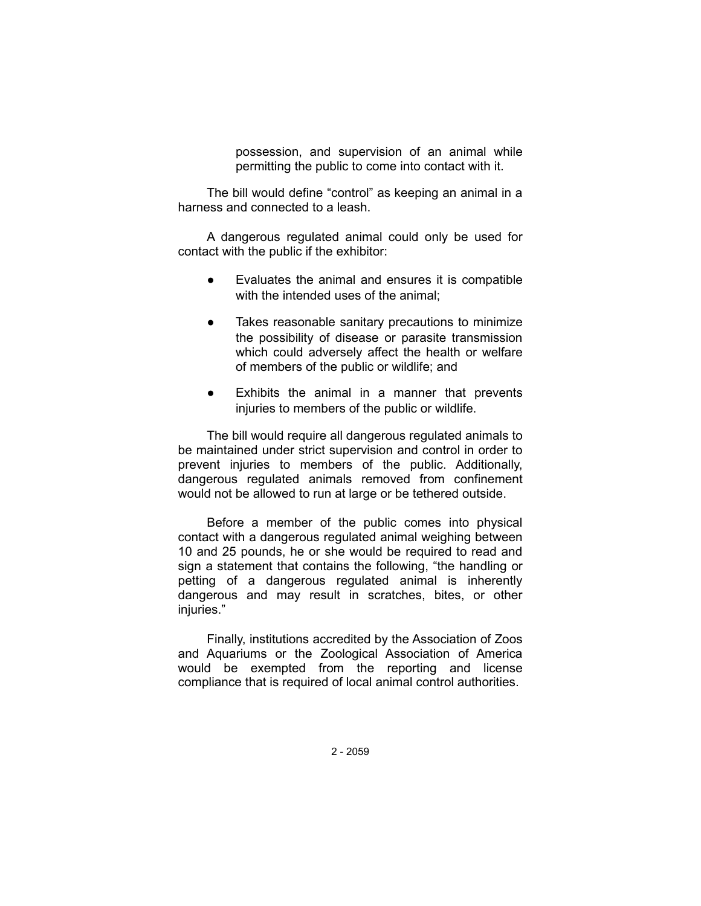possession, and supervision of an animal while permitting the public to come into contact with it.

The bill would define "control" as keeping an animal in a harness and connected to a leash.

A dangerous regulated animal could only be used for contact with the public if the exhibitor:

- Evaluates the animal and ensures it is compatible with the intended uses of the animal;
- Takes reasonable sanitary precautions to minimize the possibility of disease or parasite transmission which could adversely affect the health or welfare of members of the public or wildlife; and
- Exhibits the animal in a manner that prevents injuries to members of the public or wildlife.

The bill would require all dangerous regulated animals to be maintained under strict supervision and control in order to prevent injuries to members of the public. Additionally, dangerous regulated animals removed from confinement would not be allowed to run at large or be tethered outside.

Before a member of the public comes into physical contact with a dangerous regulated animal weighing between 10 and 25 pounds, he or she would be required to read and sign a statement that contains the following, "the handling or petting of a dangerous regulated animal is inherently dangerous and may result in scratches, bites, or other injuries."

Finally, institutions accredited by the Association of Zoos and Aquariums or the Zoological Association of America would be exempted from the reporting and license compliance that is required of local animal control authorities.

2 - 2059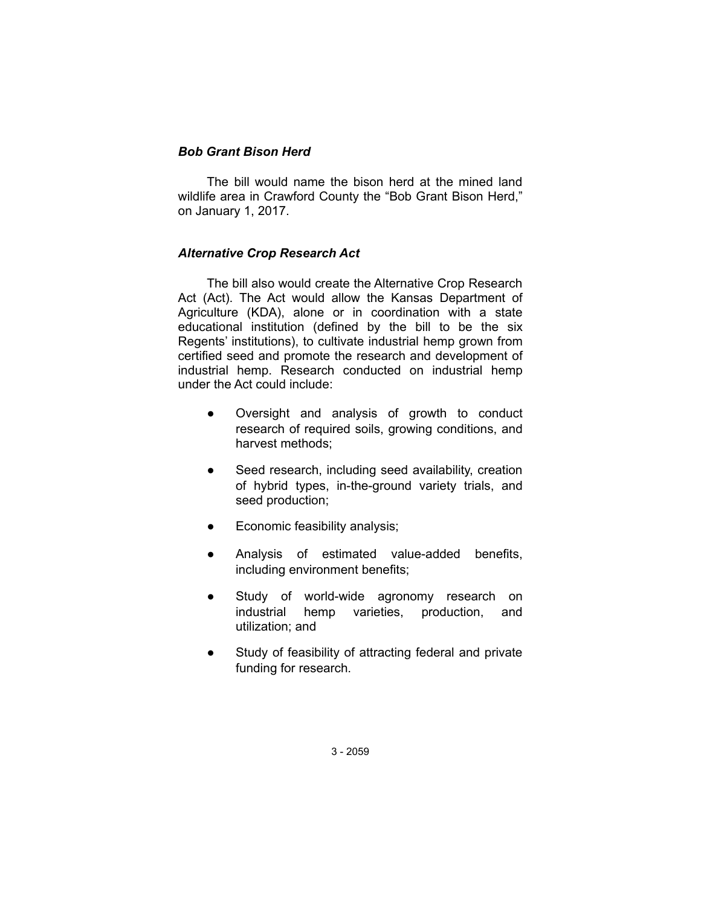# *Bob Grant Bison Herd*

The bill would name the bison herd at the mined land wildlife area in Crawford County the "Bob Grant Bison Herd," on January 1, 2017.

# *Alternative Crop Research Act*

The bill also would create the Alternative Crop Research Act (Act). The Act would allow the Kansas Department of Agriculture (KDA), alone or in coordination with a state educational institution (defined by the bill to be the six Regents' institutions), to cultivate industrial hemp grown from certified seed and promote the research and development of industrial hemp. Research conducted on industrial hemp under the Act could include:

- Oversight and analysis of growth to conduct research of required soils, growing conditions, and harvest methods;
- Seed research, including seed availability, creation of hybrid types, in-the-ground variety trials, and seed production;
- Economic feasibility analysis;
- Analysis of estimated value-added benefits, including environment benefits;
- Study of world-wide agronomy research on industrial hemp varieties, production, and utilization; and
- Study of feasibility of attracting federal and private funding for research.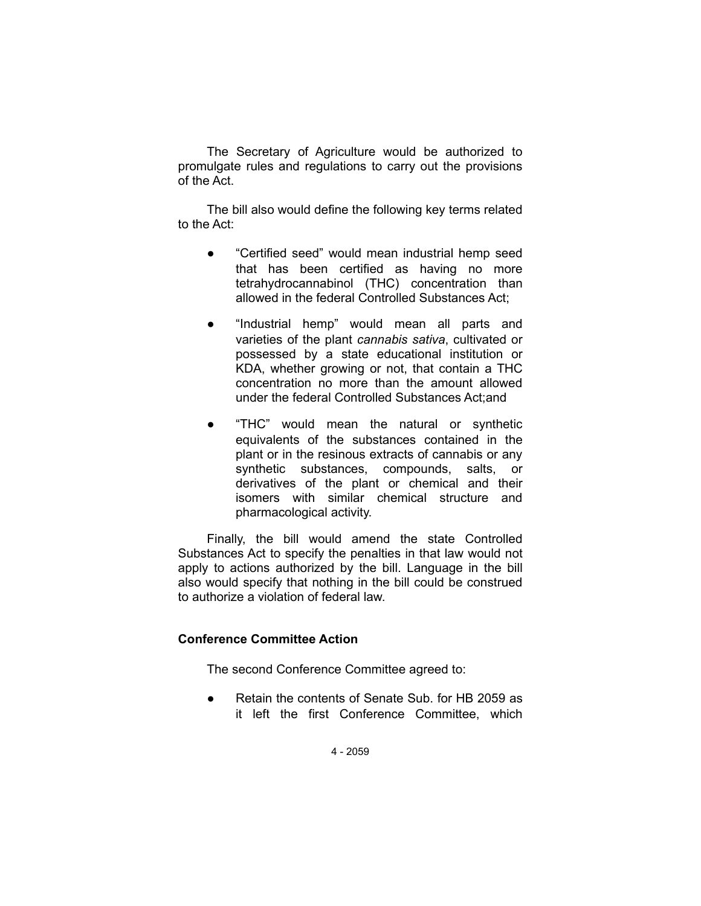The Secretary of Agriculture would be authorized to promulgate rules and regulations to carry out the provisions of the Act.

The bill also would define the following key terms related to the Act:

- "Certified seed" would mean industrial hemp seed that has been certified as having no more tetrahydrocannabinol (THC) concentration than allowed in the federal Controlled Substances Act;
- "Industrial hemp" would mean all parts and varieties of the plant *cannabis sativa*, cultivated or possessed by a state educational institution or KDA, whether growing or not, that contain a THC concentration no more than the amount allowed under the federal Controlled Substances Act;and
- "THC" would mean the natural or synthetic equivalents of the substances contained in the plant or in the resinous extracts of cannabis or any synthetic substances, compounds, salts, or derivatives of the plant or chemical and their isomers with similar chemical structure and pharmacological activity.

Finally, the bill would amend the state Controlled Substances Act to specify the penalties in that law would not apply to actions authorized by the bill. Language in the bill also would specify that nothing in the bill could be construed to authorize a violation of federal law.

# **Conference Committee Action**

The second Conference Committee agreed to:

● Retain the contents of Senate Sub. for HB 2059 as it left the first Conference Committee, which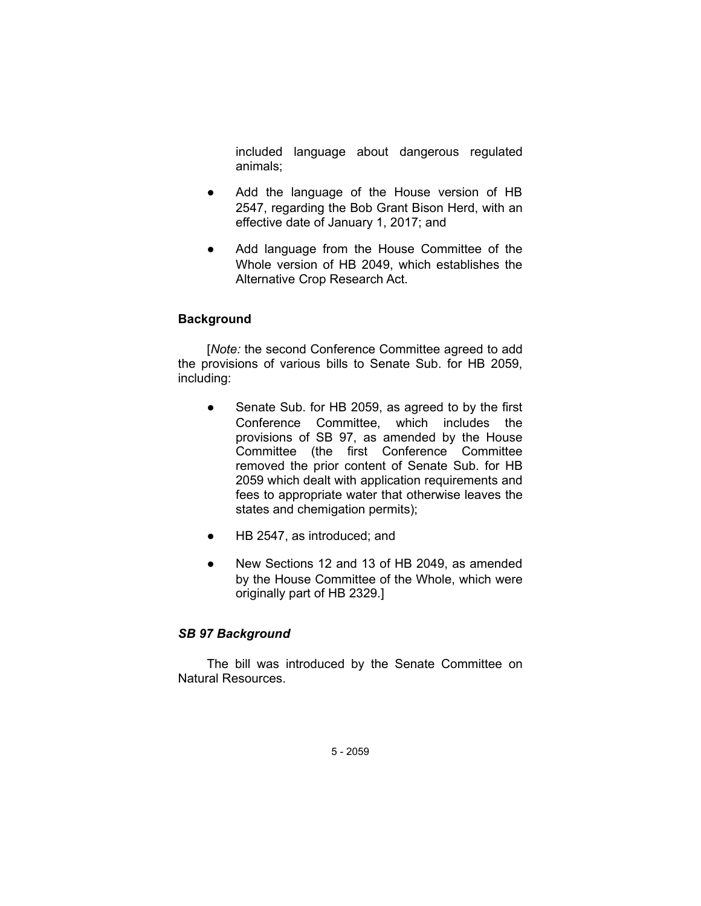included language about dangerous regulated animals;

- Add the language of the House version of HB 2547, regarding the Bob Grant Bison Herd, with an effective date of January 1, 2017; and
- Add language from the House Committee of the Whole version of HB 2049, which establishes the Alternative Crop Research Act.

# **Background**

[*Note:* the second Conference Committee agreed to add the provisions of various bills to Senate Sub. for HB 2059, including:

- Senate Sub. for HB 2059, as agreed to by the first Conference Committee, which includes the provisions of SB 97, as amended by the House Committee (the first Conference Committee removed the prior content of Senate Sub. for HB 2059 which dealt with application requirements and fees to appropriate water that otherwise leaves the states and chemigation permits);
- HB 2547, as introduced; and
- New Sections 12 and 13 of HB 2049, as amended by the House Committee of the Whole, which were originally part of HB 2329.]

## *SB 97 Background*

The bill was introduced by the Senate Committee on Natural Resources.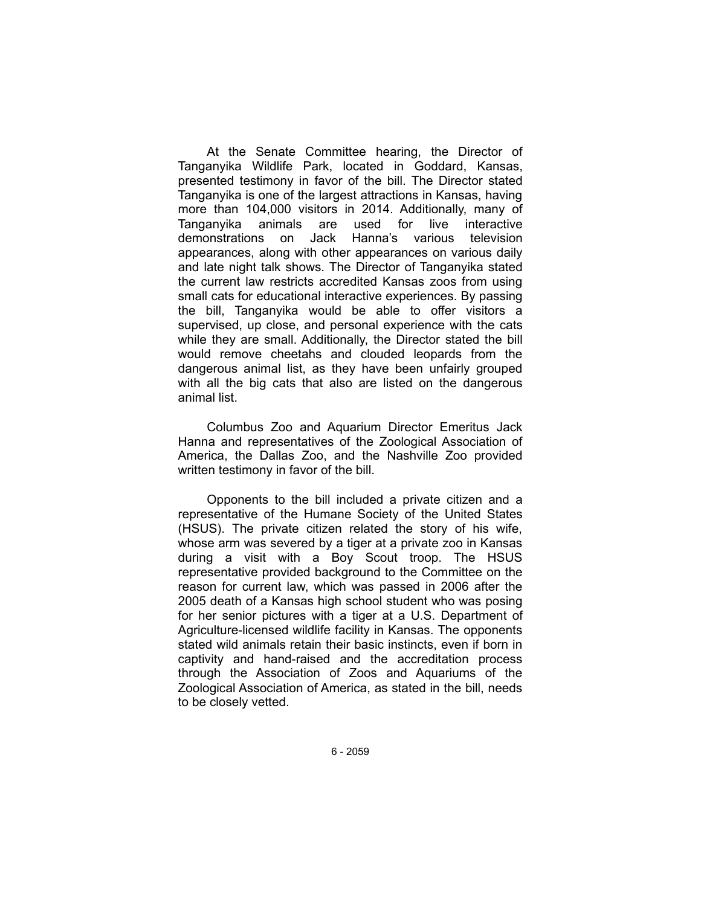At the Senate Committee hearing, the Director of Tanganyika Wildlife Park, located in Goddard, Kansas, presented testimony in favor of the bill. The Director stated Tanganyika is one of the largest attractions in Kansas, having more than 104,000 visitors in 2014. Additionally, many of Tanganyika animals are used for live interactive demonstrations on Jack Hanna's various television appearances, along with other appearances on various daily and late night talk shows. The Director of Tanganyika stated the current law restricts accredited Kansas zoos from using small cats for educational interactive experiences. By passing the bill, Tanganyika would be able to offer visitors a supervised, up close, and personal experience with the cats while they are small. Additionally, the Director stated the bill would remove cheetahs and clouded leopards from the dangerous animal list, as they have been unfairly grouped with all the big cats that also are listed on the dangerous animal list.

Columbus Zoo and Aquarium Director Emeritus Jack Hanna and representatives of the Zoological Association of America, the Dallas Zoo, and the Nashville Zoo provided written testimony in favor of the bill.

Opponents to the bill included a private citizen and a representative of the Humane Society of the United States (HSUS). The private citizen related the story of his wife, whose arm was severed by a tiger at a private zoo in Kansas during a visit with a Boy Scout troop. The HSUS representative provided background to the Committee on the reason for current law, which was passed in 2006 after the 2005 death of a Kansas high school student who was posing for her senior pictures with a tiger at a U.S. Department of Agriculture-licensed wildlife facility in Kansas. The opponents stated wild animals retain their basic instincts, even if born in captivity and hand-raised and the accreditation process through the Association of Zoos and Aquariums of the Zoological Association of America, as stated in the bill, needs to be closely vetted.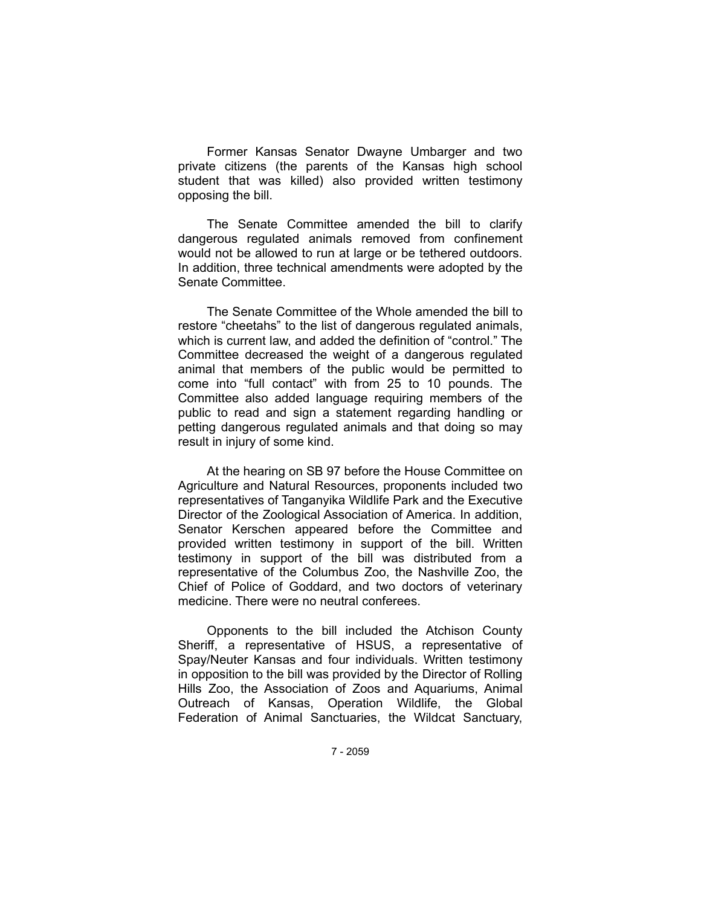Former Kansas Senator Dwayne Umbarger and two private citizens (the parents of the Kansas high school student that was killed) also provided written testimony opposing the bill.

The Senate Committee amended the bill to clarify dangerous regulated animals removed from confinement would not be allowed to run at large or be tethered outdoors. In addition, three technical amendments were adopted by the Senate Committee.

The Senate Committee of the Whole amended the bill to restore "cheetahs" to the list of dangerous regulated animals, which is current law, and added the definition of "control." The Committee decreased the weight of a dangerous regulated animal that members of the public would be permitted to come into "full contact" with from 25 to 10 pounds. The Committee also added language requiring members of the public to read and sign a statement regarding handling or petting dangerous regulated animals and that doing so may result in injury of some kind.

At the hearing on SB 97 before the House Committee on Agriculture and Natural Resources, proponents included two representatives of Tanganyika Wildlife Park and the Executive Director of the Zoological Association of America. In addition, Senator Kerschen appeared before the Committee and provided written testimony in support of the bill. Written testimony in support of the bill was distributed from a representative of the Columbus Zoo, the Nashville Zoo, the Chief of Police of Goddard, and two doctors of veterinary medicine. There were no neutral conferees.

Opponents to the bill included the Atchison County Sheriff, a representative of HSUS, a representative of Spay/Neuter Kansas and four individuals. Written testimony in opposition to the bill was provided by the Director of Rolling Hills Zoo, the Association of Zoos and Aquariums, Animal Outreach of Kansas, Operation Wildlife, the Global Federation of Animal Sanctuaries, the Wildcat Sanctuary,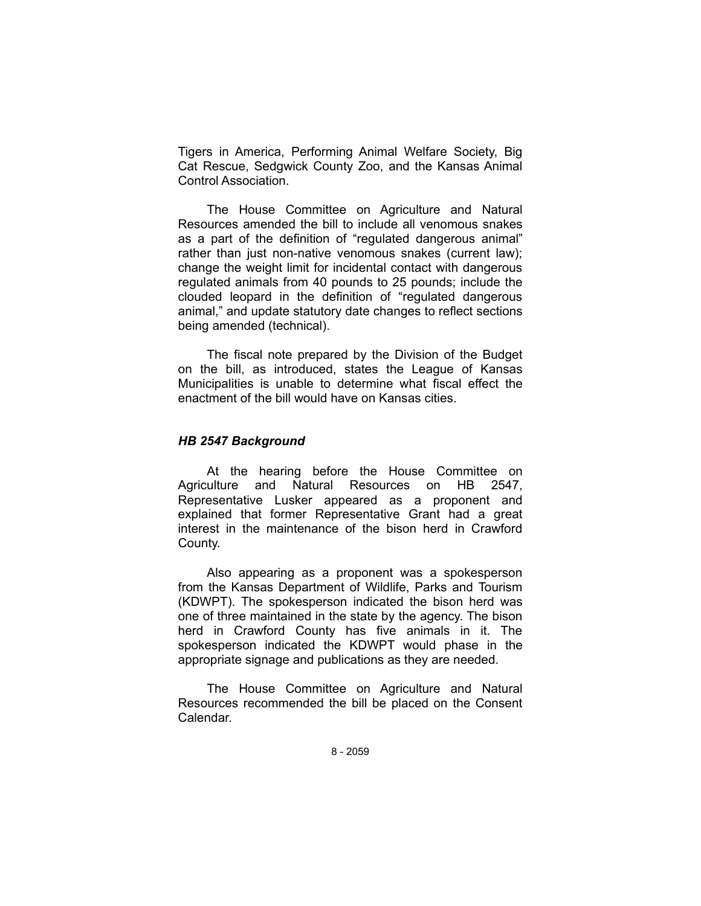Tigers in America, Performing Animal Welfare Society, Big Cat Rescue, Sedgwick County Zoo, and the Kansas Animal Control Association.

The House Committee on Agriculture and Natural Resources amended the bill to include all venomous snakes as a part of the definition of "regulated dangerous animal" rather than just non-native venomous snakes (current law); change the weight limit for incidental contact with dangerous regulated animals from 40 pounds to 25 pounds; include the clouded leopard in the definition of "regulated dangerous animal," and update statutory date changes to reflect sections being amended (technical).

The fiscal note prepared by the Division of the Budget on the bill, as introduced, states the League of Kansas Municipalities is unable to determine what fiscal effect the enactment of the bill would have on Kansas cities.

### *HB 2547 Background*

At the hearing before the House Committee on Agriculture and Natural Resources on HB 2547, Representative Lusker appeared as a proponent and explained that former Representative Grant had a great interest in the maintenance of the bison herd in Crawford County.

Also appearing as a proponent was a spokesperson from the Kansas Department of Wildlife, Parks and Tourism (KDWPT). The spokesperson indicated the bison herd was one of three maintained in the state by the agency. The bison herd in Crawford County has five animals in it. The spokesperson indicated the KDWPT would phase in the appropriate signage and publications as they are needed.

The House Committee on Agriculture and Natural Resources recommended the bill be placed on the Consent Calendar.